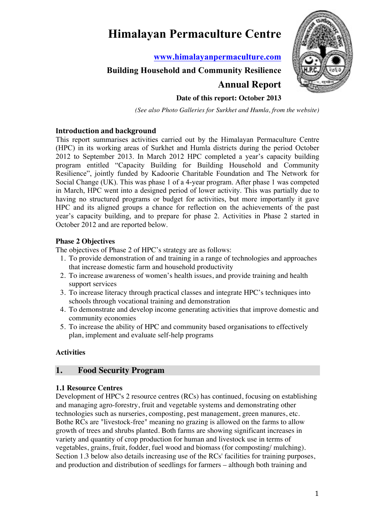# **Himalayan Permaculture Centre**

**www.himalayanpermaculture.com**

## **Building Household and Community Resilience**



## **Date of this report: October 2013**

**Annual Report**

*(See also Photo Galleries for Surkhet and Humla, from the website)*

## **Introduction and\*background**

This report summarises activities carried out by the Himalayan Permaculture Centre (HPC) in its working areas of Surkhet and Humla districts during the period October 2012 to September 2013. In March 2012 HPC completed a year's capacity building program entitled "Capacity Building for Building Household and Community Resilience", jointly funded by Kadoorie Charitable Foundation and The Network for Social Change (UK). This was phase 1 of a 4-year program. After phase 1 was competed in March, HPC went into a designed period of lower activity. This was partially due to having no structured programs or budget for activities, but more importantly it gave HPC and its aligned groups a chance for reflection on the achievements of the past year's capacity building, and to prepare for phase 2. Activities in Phase 2 started in October 2012 and are reported below.

## **Phase 2 Objectives**

The objectives of Phase 2 of HPC's strategy are as follows:

- 1. To provide demonstration of and training in a range of technologies and approaches that increase domestic farm and household productivity
- 2. To increase awareness of women's health issues, and provide training and health support services
- 3. To increase literacy through practical classes and integrate HPC's techniques into schools through vocational training and demonstration
- 4. To demonstrate and develop income generating activities that improve domestic and community economies
- 5. To increase the ability of HPC and community based organisations to effectively plan, implement and evaluate self-help programs

## **Activities**

## **1. Food Security Program**

## **1.1 Resource Centres**

Development of HPC's 2 resource centres (RCs) has continued, focusing on establishing and managing agro-forestry, fruit and vegetable systems and demonstrating other technologies such as nurseries, composting, pest management, green manures, etc. Bothe RCs are "livestock-free" meaning no grazing is allowed on the farms to allow growth of trees and shrubs planted. Both farms are showing significant increases in variety and quantity of crop production for human and livestock use in terms of vegetables, grains, fruit, fodder, fuel wood and biomass (for composting/ mulching). Section 1.3 below also details increasing use of the RCs' facilities for training purposes, and production and distribution of seedlings for farmers – although both training and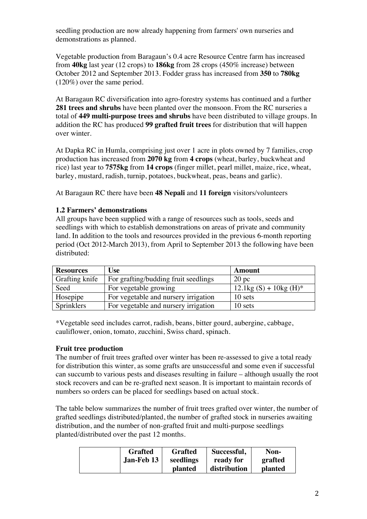seedling production are now already happening from farmers' own nurseries and demonstrations as planned.

Vegetable production from Baragaun's 0.4 acre Resource Centre farm has increased from **40kg** last year (12 crops) to **186kg** from 28 crops (450% increase) between October 2012 and September 2013. Fodder grass has increased from **350** to **780kg** (120%) over the same period.

At Baragaun RC diversification into agro-forestry systems has continued and a further **281 trees and shrubs** have been planted over the monsoon. From the RC nurseries a total of **449 multi-purpose trees and shrubs** have been distributed to village groups. In addition the RC has produced **99 grafted fruit trees** for distribution that will happen over winter.

At Dapka RC in Humla, comprising just over 1 acre in plots owned by 7 families, crop production has increased from **2070 kg** from **4 crops** (wheat, barley, buckwheat and rice) last year to **7575kg** from **14 crops** (finger millet, pearl millet, maize, rice, wheat, barley, mustard, radish, turnip, potatoes, buckwheat, peas, beans and garlic).

At Baragaun RC there have been **48 Nepali** and **11 foreign** visitors/volunteers

## **1.2 Farmers' demonstrations**

All groups have been supplied with a range of resources such as tools, seeds and seedlings with which to establish demonstrations on areas of private and community land. In addition to the tools and resources provided in the previous 6-month reporting period (Oct 2012-March 2013), from April to September 2013 the following have been distributed:

| <b>Resources</b> | Use                                  | Amount                                |
|------------------|--------------------------------------|---------------------------------------|
| Grafting knife   | For grafting/budding fruit seedlings | $20~\mathrm{pc}$                      |
| Seed             | For vegetable growing                | $12.1\text{kg}(S) + 10\text{kg}(H)^*$ |
| Hosepipe         | For vegetable and nursery irrigation | 10 sets                               |
| Sprinklers       | For vegetable and nursery irrigation | 10 sets                               |

\*Vegetable seed includes carrot, radish, beans, bitter gourd, aubergine, cabbage, cauliflower, onion, tomato, zucchini, Swiss chard, spinach.

## **Fruit tree production**

The number of fruit trees grafted over winter has been re-assessed to give a total ready for distribution this winter, as some grafts are unsuccessful and some even if successful can succumb to various pests and diseases resulting in failure – although usually the root stock recovers and can be re-grafted next season. It is important to maintain records of numbers so orders can be placed for seedlings based on actual stock.

The table below summarizes the number of fruit trees grafted over winter, the number of grafted seedlings distributed/planted, the number of grafted stock in nurseries awaiting distribution, and the number of non-grafted fruit and multi-purpose seedlings planted/distributed over the past 12 months.

| <b>Grafted</b> | <b>Grafted</b> | Successful,  | Non-    |
|----------------|----------------|--------------|---------|
| Jan-Feb 13     | seedlings      | ready for    | grafted |
|                | <b>planted</b> | distribution |         |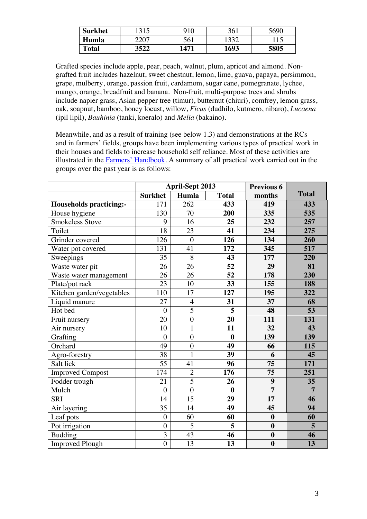| <b>Surkhet</b> |      | 910  | 361  | 5690 |
|----------------|------|------|------|------|
| Humla          |      | 561  |      |      |
| <b>Total</b>   | 3522 | 1471 | 1693 | 5805 |

Grafted species include apple, pear, peach, walnut, plum, apricot and almond. Nongrafted fruit includes hazelnut, sweet chestnut, lemon, lime, guava, papaya, persimmon, grape, mulberry, orange, passion fruit, cardamom, sugar cane, pomegranate, lychee, mango, orange, breadfruit and banana. Non-fruit, multi-purpose trees and shrubs include napier grass, Asian pepper tree (timur), butternut (chiuri), comfrey, lemon grass, oak, soapnut, bamboo, honey locust, willow, *Ficus* (dudhilo, kutmero, nibaro), *Lucaena* (ipil lipil), *Bauhinia* (tanki, koeralo) and *Melia* (bakaino).

Meanwhile, and as a result of training (see below 1.3) and demonstrations at the RCs and in farmers' fields, groups have been implementing various types of practical work in their houses and fields to increase household self reliance. Most of these activities are illustrated in the Farmers' Handbook. A summary of all practical work carried out in the groups over the past year is as follows:

|                                |                 | <b>April-Sept 2013</b> | <b>Previous 6</b>       |                  |                |
|--------------------------------|-----------------|------------------------|-------------------------|------------------|----------------|
|                                | <b>Surkhet</b>  | Humla                  | <b>Total</b>            | months           | <b>Total</b>   |
| <b>Households practicing:-</b> | 171             | 262                    | 433                     | 419              | 433            |
| House hygiene                  | 130             | 70                     | 200                     | 335              | 535            |
| <b>Smokeless Stove</b>         | 9               | 16                     | 25                      | 232              | 257            |
| Toilet                         | $\overline{18}$ | $\overline{23}$        | 41                      | 234              | 275            |
| Grinder covered                | 126             | $\boldsymbol{0}$       | 126                     | 134              | 260            |
| Water pot covered              | 131             | 41                     | 172                     | 345              | 517            |
| Sweepings                      | 35              | 8                      | 43                      | 177              | 220            |
| Waste water pit                | 26              | 26                     | $\overline{52}$         | 29               | 81             |
| Waste water management         | 26              | 26                     | 52                      | 178              | 230            |
| Plate/pot rack                 | $\overline{23}$ | 10                     | $\overline{33}$         | 155              | 188            |
| Kitchen garden/vegetables      | 110             | 17                     | 127                     | 195              | 322            |
| Liquid manure                  | 27              | $\overline{4}$         | 31                      | $\overline{37}$  | 68             |
| Hot bed                        | $\overline{0}$  | $\overline{5}$         | $\overline{5}$          | 48               | 53             |
| Fruit nursery                  | 20              | $\overline{0}$         | 20                      | 111              | 131            |
| Air nursery                    | 10              | $\mathbf{1}$           | 11                      | 32               | 43             |
| Grafting                       | $\overline{0}$  | $\overline{0}$         | $\bf{0}$                | 139              | 139            |
| Orchard                        | 49              | $\boldsymbol{0}$       | 49                      | 66               | 115            |
| Agro-forestry                  | 38              | $\mathbf{1}$           | 39                      | 6                | 45             |
| Salt lick                      | $\overline{55}$ | 41                     | 96                      | 75               | 171            |
| <b>Improved Compost</b>        | 174             | $\overline{2}$         | 176                     | $\overline{75}$  | 251            |
| Fodder trough                  | 21              | $\overline{5}$         | 26                      | $\boldsymbol{9}$ | 35             |
| Mulch                          | $\overline{0}$  | $\overline{0}$         | $\bf{0}$                | $\overline{7}$   | $\overline{7}$ |
| <b>SRI</b>                     | 14              | 15                     | 29                      | 17               | 46             |
| Air layering                   | 35              | 14                     | 49                      | 45               | 94             |
| Leaf pots                      | $\overline{0}$  | 60                     | 60                      | $\boldsymbol{0}$ | 60             |
| Pot irrigation                 | $\overline{0}$  | $\overline{5}$         | $\overline{\mathbf{5}}$ | $\boldsymbol{0}$ | 5              |
| <b>Budding</b>                 | $\overline{3}$  | 43                     | 46                      | $\boldsymbol{0}$ | 46             |
| <b>Improved Plough</b>         | $\overline{0}$  | 13                     | $\overline{13}$         | $\boldsymbol{0}$ | 13             |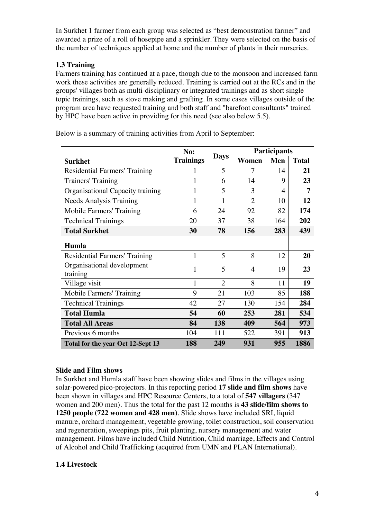In Surkhet 1 farmer from each group was selected as "best demonstration farmer" and awarded a prize of a roll of hosepipe and a sprinkler. They were selected on the basis of the number of techniques applied at home and the number of plants in their nurseries.

## **1.3 Training**

Farmers training has continued at a pace, though due to the monsoon and increased farm work these activities are generally reduced. Training is carried out at the RCs and in the groups' villages both as multi-disciplinary or integrated trainings and as short single topic trainings, such as stove making and grafting. In some cases villages outside of the program area have requested training and both staff and "barefoot consultants" trained by HPC have been active in providing for this need (see also below 5.5).

|                                        | No:              |                |                | <b>Participants</b> |              |  |  |
|----------------------------------------|------------------|----------------|----------------|---------------------|--------------|--|--|
| Surkhet                                | <b>Trainings</b> | <b>Days</b>    | Women          | Men                 | <b>Total</b> |  |  |
| Residential Farmers' Training          |                  | 5              | 7              | 14                  | 21           |  |  |
| Trainers' Training                     |                  | 6              | 14             | 9                   | 23           |  |  |
| Organisational Capacity training       | 1                | 5              | 3              | 4                   | 7            |  |  |
| <b>Needs Analysis Training</b>         | 1                | 1              | $\overline{2}$ | 10                  | 12           |  |  |
| Mobile Farmers' Training               | 6                | 24             | 92             | 82                  | 174          |  |  |
| <b>Technical Trainings</b>             | 20               | 37             | 38             | 164                 | 202          |  |  |
| <b>Total Surkhet</b>                   | 30               | 78             | 156            | 283                 | 439          |  |  |
| Humla                                  |                  |                |                |                     |              |  |  |
| Residential Farmers' Training          | 1                | 5              | 8              | 12                  | 20           |  |  |
| Organisational development<br>training | 1                | 5              | $\overline{4}$ | 19                  | 23           |  |  |
| Village visit                          | 1                | $\overline{2}$ | 8              | 11                  | 19           |  |  |
| Mobile Farmers' Training               | 9                | 21             | 103            | 85                  | 188          |  |  |
| <b>Technical Trainings</b>             | 42               | 27             | 130            | 154                 | 284          |  |  |
| <b>Total Humla</b>                     | 54               | 60             | 253            | 281                 | 534          |  |  |
| <b>Total All Areas</b>                 | 84               | 138            | 409            | 564                 | 973          |  |  |
| Previous 6 months                      | 104              | 111            | 522            | 391                 | 913          |  |  |
| Total for the year Oct 12-Sept 13      | 188              | 249            | 931            | 955                 | 1886         |  |  |

Below is a summary of training activities from April to September:

## **Slide and Film shows**

In Surkhet and Humla staff have been showing slides and films in the villages using solar-powered pico-projectors. In this reporting period **17 slide and film shows** have been shown in villages and HPC Resource Centers, to a total of **547 villagers** (347 women and 200 men). Thus the total for the past 12 months is **43 slide/film shows to 1250 people (722 women and 428 men)**. Slide shows have included SRI, liquid manure, orchard management, vegetable growing, toilet construction, soil conservation and regeneration, sweepings pits, fruit planting, nursery management and water management. Films have included Child Nutrition, Child marriage, Effects and Control of Alcohol and Child Trafficking (acquired from UMN and PLAN International).

## **1.4 Livestock**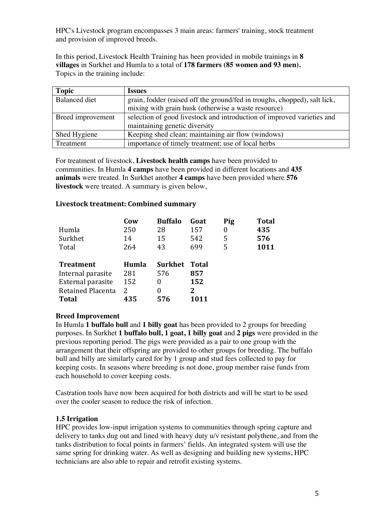HPC's Livestock program encompasses 3 main areas: farmers' training, stock treatment and provision of improved breeds.

In this period, Livestock Health Training has been provided in mobile trainings in **8 villages** in Surkhet and Humla to a total of **178 farmers (85 women and 93 men).** Topics in the training include:

| <b>Topic</b>         | <b>Issues</b>                                                             |
|----------------------|---------------------------------------------------------------------------|
| <b>Balanced diet</b> | grain, fodder (raised off the ground/fed in troughs, chopped), salt lick, |
|                      | mixing with grain husk (otherwise a waste resource)                       |
| Breed improvement    | selection of good livestock and introduction of improved varieties and    |
|                      | maintaining genetic diversity                                             |
| Shed Hygiene         | Keeping shed clean; maintaining air flow (windows)                        |
| Treatment            | importance of timely treatment; use of local herbs                        |

For treatment of livestock, **Livestock health camps** have been provided to communities. In Humla **4 camps** have been provided in different locations and **435 animals** were treated. In Surkhet another **4 camps** have been provided where **576 livestock** were treated. A summary is given below,

## Livestock treatment: Combined summary

|                   | Cow   | <b>Buffalo</b> | Goat  | Pig | <b>Total</b> |
|-------------------|-------|----------------|-------|-----|--------------|
| Humla             | 250   | 28             | 157   | 0   | 435          |
| Surkhet           | 14    | 15             | 542   | 5   | 576          |
| Total             | 264   | 43             | 699   | 5   | 1011         |
|                   |       |                |       |     |              |
| <b>Treatment</b>  | Humla | <b>Surkhet</b> | Total |     |              |
| Internal parasite | 281   | 576            | 857   |     |              |
|                   |       |                |       |     |              |
| External parasite | 152   | 0              | 152   |     |              |
| Retained Placenta | 2     | 0              | 2     |     |              |

## **Breed Improvement**

In Humla **1 buffalo bull** and **1 billy goat** has been provided to 2 groups for breeding purposes. In Surkhet **1 buffalo bull, 1 goat, 1 billy goat** and **2 pigs** were provided in the previous reporting period. The pigs were provided as a pair to one group with the arrangement that their offspring are provided to other groups for breeding. The buffalo bull and billy are similarly cared for by 1 group and stud fees collected to pay for keeping costs. In seasons where breeding is not done, group member raise funds from each household to cover keeping costs.

Castration tools have now been acquired for both districts and will be start to be used over the cooler season to reduce the risk of infection.

## **1.5 Irrigation**

HPC provides low-input irrigation systems to communities through spring capture and delivery to tanks dug out and lined with heavy duty u/v resistant polythene, and from the tanks distribution to focal points in farmers' fields. An integrated system will use the same spring for drinking water. As well as designing and building new systems, HPC technicians are also able to repair and retrofit existing systems.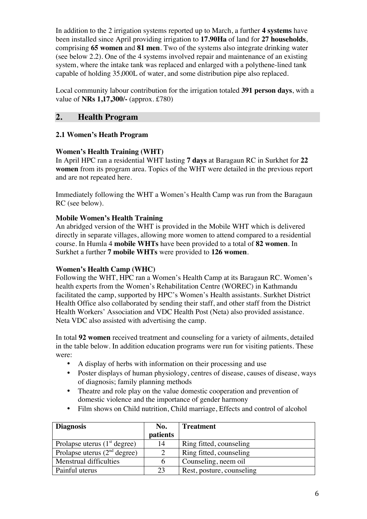In addition to the 2 irrigation systems reported up to March, a further **4 systems** have been installed since April providing irrigation to **17.90Ha** of land for **27 households**, comprising **65 women** and **81 men**. Two of the systems also integrate drinking water (see below 2.2). One of the 4 systems involved repair and maintenance of an existing system, where the intake tank was replaced and enlarged with a polythene-lined tank capable of holding 35,000L of water, and some distribution pipe also replaced.

Local community labour contribution for the irrigation totaled **391 person days**, with a value of **NRs 1,17,300/-** (approx. £780)

## **2. Health Program**

## **2.1 Women's Heath Program**

## **Women's Health Training (WHT)**

In April HPC ran a residential WHT lasting **7 days** at Baragaun RC in Surkhet for **22 women** from its program area. Topics of the WHT were detailed in the previous report and are not repeated here.

Immediately following the WHT a Women's Health Camp was run from the Baragaun RC (see below).

## **Mobile Women's Health Training**

An abridged version of the WHT is provided in the Mobile WHT which is delivered directly in separate villages, allowing more women to attend compared to a residential course. In Humla 4 **mobile WHTs** have been provided to a total of **82 women**. In Surkhet a further **7 mobile WHTs** were provided to **126 women**.

## **Women's Health Camp (WHC)**

Following the WHT, HPC ran a Women's Health Camp at its Baragaun RC. Women's health experts from the Women's Rehabilitation Centre (WOREC) in Kathmandu facilitated the camp, supported by HPC's Women's Health assistants. Surkhet District Health Office also collaborated by sending their staff, and other staff from the District Health Workers' Association and VDC Health Post (Neta) also provided assistance. Neta VDC also assisted with advertising the camp.

In total **92 women** received treatment and counseling for a variety of ailments, detailed in the table below. In addition education programs were run for visiting patients. These were:

- A display of herbs with information on their processing and use
- Poster displays of human physiology, centres of disease, causes of disease, ways of diagnosis; family planning methods
- Theatre and role play on the value domestic cooperation and prevention of domestic violence and the importance of gender harmony
- Film shows on Child nutrition, Child marriage, Effects and control of alcohol

| <b>Diagnosis</b>               | No.<br>patients | <b>Treatment</b>          |
|--------------------------------|-----------------|---------------------------|
| Prolapse uterus $(1st$ degree) | 14              | Ring fitted, counseling   |
| Prolapse uterus $(2nd$ degree) | $\mathcal{D}$   | Ring fitted, counseling   |
| Menstrual difficulties         |                 | Counseling, neem oil      |
| Painful uterus                 | 23              | Rest, posture, counseling |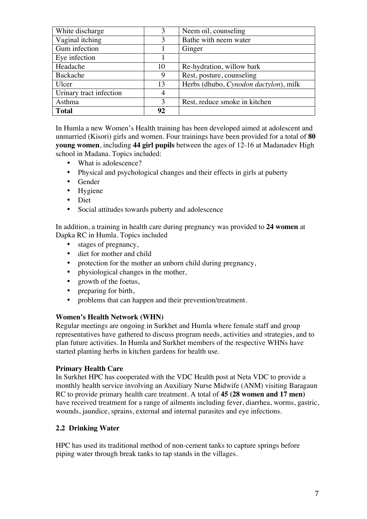| White discharge         | 3  | Neem oil, counseling                  |
|-------------------------|----|---------------------------------------|
| Vaginal itching         | 3  | Bathe with neem water                 |
| Gum infection           |    | Ginger                                |
| Eye infection           |    |                                       |
| Headache                | 10 | Re-hydration, willow bark             |
| Backache                | 9  | Rest, posture, counseling             |
| Ulcer                   | 13 | Herbs (dhubo, Cynodon dactylon), milk |
| Urinary tract infection | 4  |                                       |
| Asthma                  | 3  | Rest, reduce smoke in kitchen         |
| <b>Total</b>            | 92 |                                       |

In Humla a new Women's Health training has been developed aimed at adolescent and unmarried (Kisori) girls and women. Four trainings have been provided for a total of **80 young women**, including **44 girl pupils** between the ages of 12-16 at Madanadev High school in Madana. Topics included:

- What is adolescence?
- Physical and psychological changes and their effects in girls at puberty
- Gender
- Hygiene
- Diet
- Social attitudes towards puberty and adolescence

In addition, a training in health care during pregnancy was provided to **24 women** at Dapka RC in Humla. Topics included

- stages of pregnancy,
- diet for mother and child<br>• protection for the mother
- protection for the mother an unborn child during pregnancy,
- physiological changes in the mother,
- growth of the foetus,
- preparing for birth,
- problems that can happen and their prevention/treatment.

#### **Women's Health Network (WHN)**

Regular meetings are ongoing in Surkhet and Humla where female staff and group representatives have gathered to discuss program needs, activities and strategies, and to plan future activities. In Humla and Surkhet members of the respective WHNs have started planting herbs in kitchen gardens for health use.

#### **Primary Health Care**

In Surkhet HPC has cooperated with the VDC Health post at Neta VDC to provide a monthly health service involving an Auxiliary Nurse Midwife (ANM) visiting Baragaun RC to provide primary health care treatment. A total of **45 (28 women and 17 men)** have received treatment for a range of ailments including fever, diarrhea, worms, gastric, wounds, jaundice, sprains, external and internal parasites and eye infections.

## **2.2 Drinking Water**

HPC has used its traditional method of non-cement tanks to capture springs before piping water through break tanks to tap stands in the villages.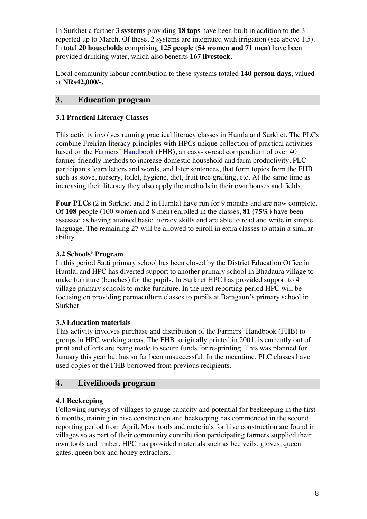In Surkhet a further **3 systems** providing **18 taps** have been built in addition to the 3 reported up to March. Of these, 2 systems are integrated with irrigation (see above 1.5). In total **20 households** comprising **125 people (54 women and 71 men)** have been provided drinking water, which also benefits **167 livestock**.

Local community labour contribution to these systems totaled **140 person days**, valued at **NRs42,000/-.**

## **3. Education program**

## **3.1 Practical Literacy Classes**

This activity involves running practical literacy classes in Humla and Surkhet. The PLCs combine Freirian literacy principles with HPCs unique collection of practical activities based on the Farmers' Handbook (FHB), an easy-to-read compendium of over 40 farmer-friendly methods to increase domestic household and farm productivity. PLC participants learn letters and words, and later sentences, that form topics from the FHB such as stove, nursery, toilet, hygiene, diet, fruit tree grafting, etc. At the same time as increasing their literacy they also apply the methods in their own houses and fields.

**Four PLCs** (2 in Surkhet and 2 in Humla) have run for 9 months and are now complete. Of **108** people (100 women and 8 men) enrolled in the classes, **81 (75%)** have been assessed as having attained basic literacy skills and are able to read and write in simple language. The remaining 27 will be allowed to enroll in extra classes to attain a similar ability.

## **3.2 Schools' Program**

In this period Satti primary school has been closed by the District Education Office in Humla, and HPC has diverted support to another primary school in Bhadaura village to make furniture (benches) for the pupils. In Surkhet HPC has provided support to 4 village primary schools to make furniture. In the next reporting period HPC will be focusing on providing permaculture classes to pupils at Baragaun's primary school in Surkhet.

## **3.3 Education materials**

This activity involves purchase and distribution of the Farmers' Handbook (FHB) to groups in HPC working areas. The FHB, originally printed in 2001, is currently out of print and efforts are being made to secure funds for re-printing. This was planned for January this year but has so far been unsuccessful. In the meantime, PLC classes have used copies of the FHB borrowed from previous recipients.

## **4. Livelihoods program**

## **4.1 Beekeeping**

Following surveys of villages to gauge capacity and potential for beekeeping in the first 6 months, training in hive construction and beekeeping has commenced in the second reporting period from April. Most tools and materials for hive construction are found in villages so as part of their community contribution participating farmers supplied their own tools and timber. HPC has provided materials such as bee veils, gloves, queen gates, queen box and honey extractors.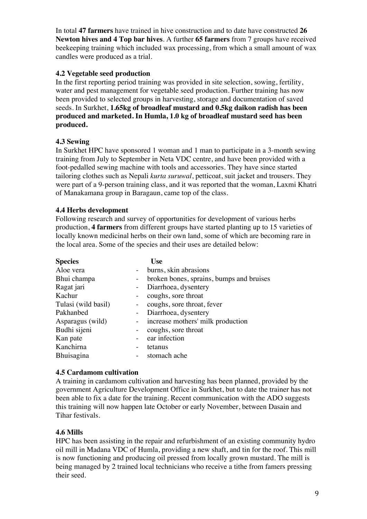In total **47 farmers** have trained in hive construction and to date have constructed **26 Newton hives and 4 Top bar hives**. A further **65 farmers** from 7 groups have received beekeeping training which included wax processing, from which a small amount of wax candles were produced as a trial.

## **4.2 Vegetable seed production**

In the first reporting period training was provided in site selection, sowing, fertility, water and pest management for vegetable seed production. Further training has now been provided to selected groups in harvesting, storage and documentation of saved seeds. In Surkhet, **1.65kg of broadleaf mustard and 0.5kg daikon radish has been produced and marketed. In Humla, 1.0 kg of broadleaf mustard seed has been produced.** 

## **4.3 Sewing**

In Surkhet HPC have sponsored 1 woman and 1 man to participate in a 3-month sewing training from July to September in Neta VDC centre, and have been provided with a foot-pedalled sewing machine with tools and accessories. They have since started tailoring clothes such as Nepali *kurta suruwal*, petticoat, suit jacket and trousers. They were part of a 9-person training class, and it was reported that the woman, Laxmi Khatri of Manakamana group in Baragaun, came top of the class.

## **4.4 Herbs development**

Following research and survey of opportunities for development of various herbs production, **4 farmers** from different groups have started planting up to 15 varieties of locally known medicinal herbs on their own land, some of which are becoming rare in the local area. Some of the species and their uses are detailed below:

| <b>Species</b>      | Use                                      |
|---------------------|------------------------------------------|
| Aloe vera           | burns, skin abrasions                    |
| Bhui champa         | broken bones, sprains, bumps and bruises |
| Ragat jari          | Diarrhoea, dysentery                     |
| Kachur              | coughs, sore throat                      |
| Tulasi (wild basil) | coughs, sore throat, fever               |
| Pakhanbed           | Diarrhoea, dysentery                     |
| Asparagus (wild)    | - increase mothers' milk production      |
| Budhi sijeni        | coughs, sore throat                      |
| Kan pate            | ear infection                            |
| Kanchirna           | tetanus                                  |
| <b>Bhuisagina</b>   | stomach ache                             |

## **4.5 Cardamom cultivation**

A training in cardamom cultivation and harvesting has been planned, provided by the government Agriculture Development Office in Surkhet, but to date the trainer has not been able to fix a date for the training. Recent communication with the ADO suggests this training will now happen late October or early November, between Dasain and Tihar festivals.

## **4.6 Mills**

HPC has been assisting in the repair and refurbishment of an existing community hydro oil mill in Madana VDC of Humla, providing a new shaft, and tin for the roof. This mill is now functioning and producing oil pressed from locally grown mustard. The mill is being managed by 2 trained local technicians who receive a tithe from famers pressing their seed.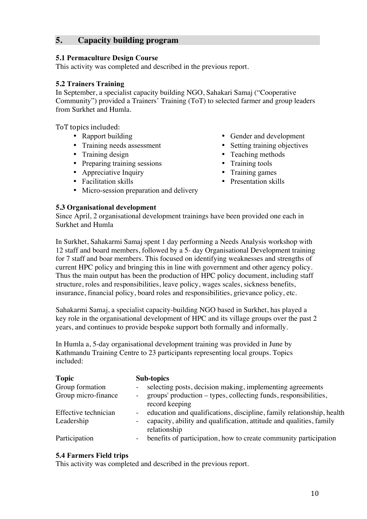## **5. Capacity building program**

#### **5.1 Permaculture Design Course**

This activity was completed and described in the previous report.

## **5.2 Trainers Training**

In September, a specialist capacity building NGO, Sahakari Samaj ("Cooperative Community") provided a Trainers' Training (ToT) to selected farmer and group leaders from Surkhet and Humla.

ToT topics included:

- 
- 
- 
- Preparing training sessions Training tools
- Appreciative Inquiry Training games<br>• Facilitation skills Presentation skills
- Facilitation skills
- Micro-session preparation and delivery
- Rapport building Gender and development
- Training needs assessment Setting training objectives<br>• Training design Teaching methods
	- Teaching methods
	-
	-
	-

#### **5.3 Organisational development**

Since April, 2 organisational development trainings have been provided one each in Surkhet and Humla

In Surkhet, Sahakarmi Samaj spent 1 day performing a Needs Analysis workshop with 12 staff and board members, followed by a 5- day Organisational Development training for 7 staff and boar members. This focused on identifying weaknesses and strengths of current HPC policy and bringing this in line with government and other agency policy. Thus the main output has been the production of HPC policy document, including staff structure, roles and responsibilities, leave policy, wages scales, sickness benefits, insurance, financial policy, board roles and responsibilities, grievance policy, etc.

Sahakarmi Samaj, a specialist capacity-building NGO based in Surkhet, has played a key role in the organisational development of HPC and its village groups over the past 2 years, and continues to provide bespoke support both formally and informally.

In Humla a, 5-day organisational development training was provided in June by Kathmandu Training Centre to 23 participants representing local groups. Topics included:

| <b>Topic</b>                           | Sub-topics                                                                                                                   |
|----------------------------------------|------------------------------------------------------------------------------------------------------------------------------|
| Group formation<br>Group micro-finance | selecting posts, decision making, implementing agreements<br>groups' production – types, collecting funds, responsibilities, |
| Effective technician                   | record keeping<br>education and qualifications, discipline, family relationship, health                                      |
| Leadership                             | capacity, ability and qualification, attitude and qualities, family<br>relationship                                          |
| Participation                          | benefits of participation, how to create community participation                                                             |

#### **5.4 Farmers Field trips**

This activity was completed and described in the previous report.